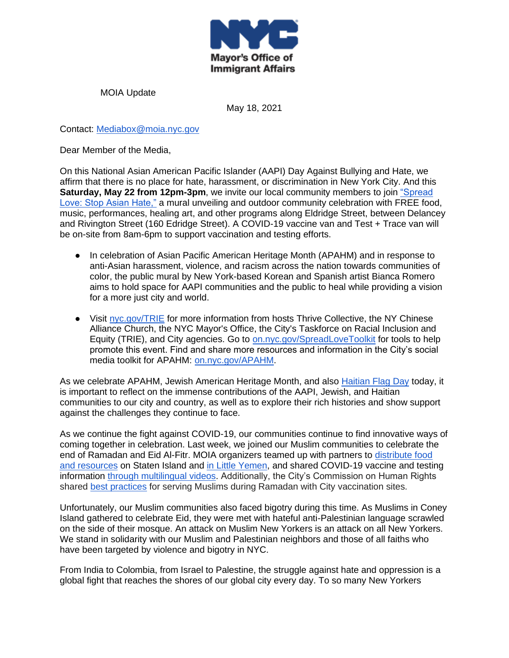

MOIA Update

May 18, 2021

Contact: [Mediabox@moia.nyc.gov](mailto:Mediabox@moia.nyc.gov)

Dear Member of the Media,

On this National Asian American Pacific Islander (AAPI) Day Against Bullying and Hate, we affirm that there is no place for hate, harassment, or discrimination in New York City. And this **Saturday, May 22 from 12pm-3pm**, we invite our local community members to join "Spread [Love: Stop Asian Hate,"](http://nyc.gov/TRIE) a mural unveiling and outdoor community celebration with FREE food, music, performances, healing art, and other programs along Eldridge Street, between Delancey and Rivington Street (160 Edridge Street). A COVID-19 vaccine van and Test + Trace van will be on-site from 8am-6pm to support vaccination and testing efforts.

- In celebration of Asian Pacific American Heritage Month (APAHM) and in response to anti-Asian harassment, violence, and racism across the nation towards communities of color, the public mural by New York-based Korean and Spanish artist Bianca Romero aims to hold space for AAPI communities and the public to heal while providing a vision for a more just city and world.
- Visit [nyc.gov/TRIE](http://nyc.gov/TRIE) for more information from hosts Thrive Collective, the NY Chinese Alliance Church, the NYC Mayor's Office, the City's Taskforce on Racial Inclusion and Equity (TRIE), and City agencies. Go to [on.nyc.gov/SpreadLoveToolkit](http://on.nyc.gov/SpreadLoveToolkit) for tools to help promote this event. Find and share more resources and information in the City's social media toolkit for APAHM: [on.nyc.gov/APAHM.](http://on.nyc.gov/APAHM)

As we celebrate APAHM, Jewish American Heritage Month, and also [Haitian Flag Day](https://twitter.com/NYCImmigrants/status/1394359649965592583?s=20) today, it is important to reflect on the immense contributions of the AAPI, Jewish, and Haitian communities to our city and country, as well as to explore their rich histories and show support against the challenges they continue to face.

As we continue the fight against COVID-19, our communities continue to find innovative ways of coming together in celebration. Last week, we joined our Muslim communities to celebrate the end of Ramadan and Eid Al-Fitr. MOIA organizers teamed up with partners to [distribute food](https://www.facebook.com/nycimmigrants/posts/5539689899405656)  [and resources](https://www.facebook.com/nycimmigrants/posts/5539689899405656) on Staten Island and [in Little Yemen,](https://twitter.com/NYCImmigrants/status/1390844122953621506) and shared COVID-19 vaccine and testing information [through multilingual v](https://twitter.com/NYCImmigrants/status/1381735008507998209?s=20)ideos. Additionally, the City's Commission on Human Rights shared [best practices](https://www1.nyc.gov/site/cchr/media/materials.page#covid) for serving Muslims during Ramadan with City vaccination sites.

Unfortunately, our Muslim communities also faced bigotry during this time. As Muslims in Coney Island gathered to celebrate Eid, they were met with hateful anti-Palestinian language scrawled on the side of their mosque. An attack on Muslim New Yorkers is an attack on all New Yorkers. We stand in solidarity with our Muslim and Palestinian neighbors and those of all faiths who have been targeted by violence and bigotry in NYC.

From India to Colombia, from Israel to Palestine, the struggle against hate and oppression is a global fight that reaches the shores of our global city every day. To so many New Yorkers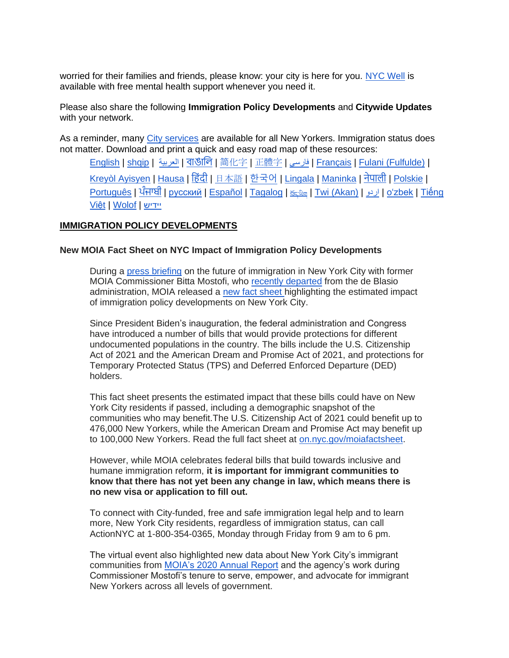worried for their families and friends, please know: your city is here for you[.](http://nyc.gov/nycwell) [NYC Well](http://nyc.gov/nycwell) is available with free mental health support whenever you need it.

Please also share the following **Immigration Policy Developments** and **Citywide Updates**  with your network.

As a reminder, many [City services](https://www1.nyc.gov/site/immigrants/help/city-services.page) are available for all New Yorkers. Immigration status does not matter. Download and print a quick and easy road map of these resources:

[English](https://www1.nyc.gov/assets/immigrants/downloads/pdf/moia-one-pager-4-english.pdf) | [shqip](https://www1.nyc.gov/assets/immigrants/downloads/pdf/moia-one-pager-4-albanian.pdf) | [العربية](https://www1.nyc.gov/assets/immigrants/downloads/pdf/moia-one-pager-4-arabic.pdf) | [বাঙালি](https://www1.nyc.gov/assets/immigrants/downloads/pdf/moia-one-pager-4-bengali.pdf) | [简](https://www1.nyc.gov/assets/immigrants/downloads/pdf/moia-one-pager-4-simplified-chinese.pdf)[化字](https://www1.nyc.gov/assets/immigrants/downloads/pdf/moia-one-pager-4-simplified-chinese.pdf) | [正體字](https://www1.nyc.gov/assets/immigrants/downloads/pdf/moia-one-pager-4-traditional-chinese.pdf) | [فارسی](https://www1.nyc.gov/assets/immigrants/downloads/pdf/moia-one-pager-4-farsi.pdf) | [Français](https://www1.nyc.gov/assets/immigrants/downloads/pdf/moia-one-pager-4-french.pdf) | [Fulani \(Fulfulde\)](https://www1.nyc.gov/assets/immigrants/downloads/pdf/moia-one-pager-4-fulani.pdf) | <u>[Kreyòl Ayisyen](https://www1.nyc.gov/assets/immigrants/downloads/pdf/moia-one-pager-4-haitian-creole.pdf) | [Hausa](https://www1.nyc.gov/assets/immigrants/downloads/pdf/moia-one-pager-4-hausa.pdf) | हिंदी | [日本語](https://www1.nyc.gov/assets/immigrants/downloads/pdf/moia-one-pager-4-japanese.pdf) | [한국어](https://www1.nyc.gov/assets/immigrants/downloads/pdf/moia-one-pager-4-korean.pdf) | [Lingala](https://www1.nyc.gov/assets/immigrants/downloads/pdf/moia-one-pager-4-lingala.pdf) | [Maninka](https://www1.nyc.gov/assets/immigrants/downloads/pdf/moia-one-pager-4-malinke.pdf) | [नेपाली](https://www1.nyc.gov/assets/immigrants/downloads/pdf/moia-one-pager-4-nepali.pdf) | [Polskie](https://www1.nyc.gov/assets/immigrants/downloads/pdf/moia-one-pager-4-polish.pdf) |</u> [Português](https://www1.nyc.gov/assets/immigrants/downloads/pdf/moia-one-pager-4-portuguese.pdf) | <u>[ਪੰਜਾਬੀ](https://www1.nyc.gov/assets/immigrants/downloads/pdf/moia-one-pager-4-punjabi.pdf)</u> | [русский](https://www1.nyc.gov/assets/immigrants/downloads/pdf/moia-one-pager-4-russian.pdf) | [Español](https://www1.nyc.gov/assets/immigrants/downloads/pdf/moia-one-pager-4-spanish.pdf) | [Tagalog](https://www1.nyc.gov/assets/immigrants/downloads/pdf/moia-one-pager-4-tagalog.pdf) | طردو | <u>Twi (Akan) | [اردو](https://www1.nyc.gov/assets/immigrants/downloads/pdf/moia-one-pager-4-urdu.pdf) | [oʻzbek](https://www1.nyc.gov/assets/immigrants/downloads/pdf/moia-one-pager-4-uzbek.pdf) | Tiếng</u> [Việt](https://www1.nyc.gov/assets/immigrants/downloads/pdf/moia-one-pager-4-vietnamese.pdf) | [Wolof](https://www1.nyc.gov/assets/immigrants/downloads/pdf/moia-one-pager-4-wolof.pdf) | [יידיש](https://www1.nyc.gov/assets/immigrants/downloads/pdf/moia-one-pager-4-yiddish.pdf)

### **IMMIGRATION POLICY DEVELOPMENTS**

#### **New MOIA Fact Sheet on NYC Impact of Immigration Policy Developments**

During a [press briefing](https://www.facebook.com/nycimmigrants/videos/454810962276795) on the future of immigration in New York City with former MOIA Commissioner Bitta Mostofi, who [recently departed](https://www1.nyc.gov/site/immigrants/about/press-releases/bitta-mostofi-announces-departure-from-de-blasion-administration.page) from the de Blasio administration, MOIA released a [new fact sheet h](http://on.nyc.gov/moiafactsheet)ighlighting the estimated impact of immigration policy developments on New York City.

Since President Biden's inauguration, the federal administration and Congress have introduced a number of bills that would provide protections for different undocumented populations in the country. The bills include the U.S. Citizenship Act of 2021 and the American Dream and Promise Act of 2021, and protections for Temporary Protected Status (TPS) and Deferred Enforced Departure (DED) holders.

This fact sheet presents the estimated impact that these bills could have on New York City residents if passed, including a demographic snapshot of the communities who may benefit.The U.S. Citizenship Act of 2021 could benefit up to 476,000 New Yorkers, while the American Dream and Promise Act may benefit up to 100,000 New Yorkers. Read the full fact sheet at [on.nyc.gov/moiafactsheet.](http://on.nyc.gov/moiafactsheet)

However, while MOIA celebrates federal bills that build towards inclusive and humane immigration reform, **it is important for immigrant communities to know that there has not yet been any change in law, which means there is no new visa or application to fill out.**

To connect with City-funded, free and safe immigration legal help and to learn more, New York City residents, regardless of immigration status, can call ActionNYC at 1-800-354-0365, Monday through Friday from 9 am to 6 pm.

The virtual event also highlighted new data about New York City's immigrant communities from [MOIA's 2020 Annual Report](https://www1.nyc.gov/site/immigrants/about/annual-report.page) and the agency's work during Commissioner Mostofi's tenure to serve, empower, and advocate for immigrant New Yorkers across all levels of government.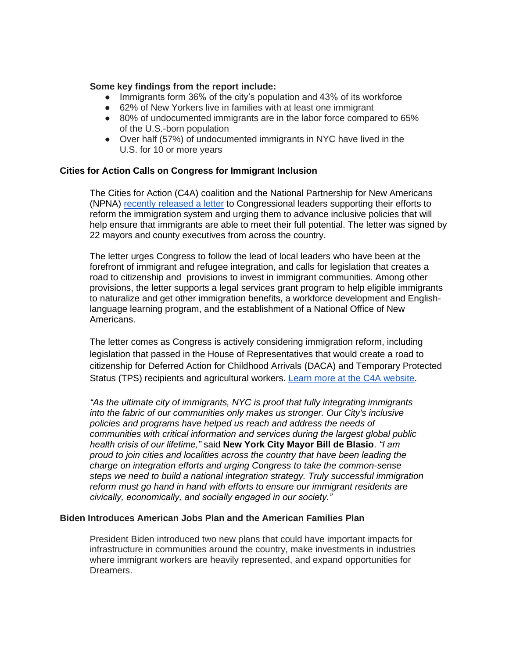#### **Some key findings from the report include:**

- Immigrants form 36% of the city's population and 43% of its workforce
- 62% of New Yorkers live in families with at least one immigrant
- 80% of undocumented immigrants are in the labor force compared to 65% of the U.S.-born population
- Over half (57%) of undocumented immigrants in NYC have lived in the U.S. for 10 or more years

#### **Cities for Action Calls on Congress for Immigrant Inclusion**

The Cities for Action (C4A) coalition and the National Partnership for New Americans (NPNA) [recently released a letter](https://www.citiesforaction.us/mayors_and_county_executives_urge_congressional_action_on_immigrant_inclusion) to Congressional leaders supporting their efforts to reform the immigration system and urging them to advance inclusive policies that will help ensure that immigrants are able to meet their full potential. The letter was signed by 22 mayors and county executives from across the country.

The letter urges Congress to follow the lead of local leaders who have been at the forefront of immigrant and refugee integration, and calls for legislation that creates a road to citizenship and provisions to invest in immigrant communities. Among other provisions, the letter supports a legal services grant program to help eligible immigrants to naturalize and get other immigration benefits, a workforce development and Englishlanguage learning program, and the establishment of a National Office of New Americans.

The letter comes as Congress is actively considering immigration reform, including legislation that passed in the House of Representatives that would create a road to citizenship for Deferred Action for Childhood Arrivals (DACA) and Temporary Protected Status (TPS) recipients and agricultural workers. [Learn more at the C4A website.](https://www.citiesforaction.us/mayors_and_county_executives_urge_congressional_action_on_immigrant_inclusion)

*"As the ultimate city of immigrants, NYC is proof that fully integrating immigrants into the fabric of our communities only makes us stronger. Our City's inclusive policies and programs have helped us reach and address the needs of communities with critical information and services during the largest global public health crisis of our lifetime,"* said **New York City Mayor Bill de Blasio**. *"I am proud to join cities and localities across the country that have been leading the charge on integration efforts and urging Congress to take the common-sense steps we need to build a national integration strategy. Truly successful immigration reform must go hand in hand with efforts to ensure our immigrant residents are civically, economically, and socially engaged in our society."*

#### **Biden Introduces American Jobs Plan and the American Families Plan**

President Biden introduced two new plans that could have important impacts for infrastructure in communities around the country, make investments in industries where immigrant workers are heavily represented, and expand opportunities for Dreamers.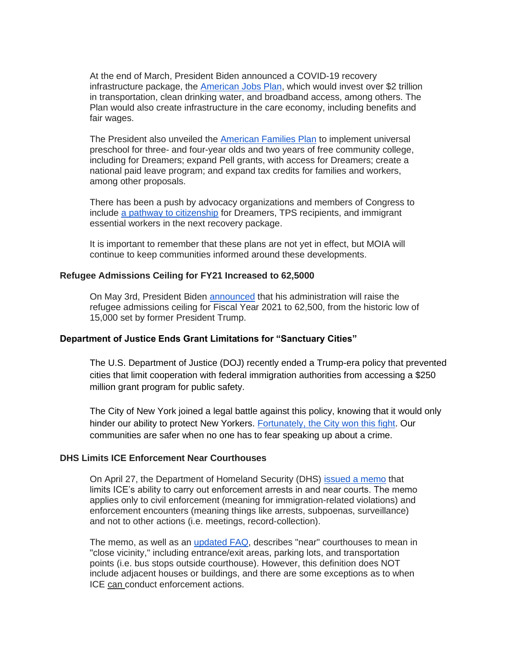At the end of March, President Biden announced a COVID-19 recovery infrastructure package, the [American Jobs Plan,](https://gcc02.safelinks.protection.outlook.com/?url=https%3A%2F%2Fwww.whitehouse.gov%2Fbriefing-room%2Fstatements-releases%2F2021%2F03%2F31%2Ffact-sheet-the-american-jobs-plan%2F&data=04%7C01%7CHNeuhaus%40moconsultant.nyc.gov%7C1ca8f090edd840b9304508d90ff40d17%7C35c828166c56443bbaf68312163cadc1%7C0%7C0%7C637558363142311446%7CUnknown%7CTWFpbGZsb3d8eyJWIjoiMC4wLjAwMDAiLCJQIjoiV2luMzIiLCJBTiI6Ik1haWwiLCJXVCI6Mn0%3D%7C1000&sdata=2IatZukK0HBJDBxoqKSHSQ5Nv2dojvGgC%2FAeothUqjo%3D&reserved=0) which would invest over \$2 trillion in transportation, clean drinking water, and broadband access, among others. The Plan would also create infrastructure in the care economy, including benefits and fair wages.

The President also unveiled the [American Families Plan](https://gcc02.safelinks.protection.outlook.com/?url=https%3A%2F%2Fwww.whitehouse.gov%2Fbriefing-room%2Fstatements-releases%2F2021%2F04%2F28%2Ffact-sheet-the-american-families-plan%2F&data=04%7C01%7CHNeuhaus%40moconsultant.nyc.gov%7C1ca8f090edd840b9304508d90ff40d17%7C35c828166c56443bbaf68312163cadc1%7C0%7C0%7C637558363142316417%7CUnknown%7CTWFpbGZsb3d8eyJWIjoiMC4wLjAwMDAiLCJQIjoiV2luMzIiLCJBTiI6Ik1haWwiLCJXVCI6Mn0%3D%7C1000&sdata=uRtq6vjERFmDcuCpiZiuCaPU8bfZOIz%2BXhMcKC1C6Vc%3D&reserved=0) to implement universal preschool for three- and four-year olds and two years of free community college, including for Dreamers; expand Pell grants, with access for Dreamers; create a national paid leave program; and expand tax credits for families and workers, among other proposals.

There has been a push by advocacy organizations and members of Congress to include [a pathway to citizenship](https://www.nytimes.com/2021/05/03/us/politics/immigration-infrastructure-budget-reconciliation.html) for Dreamers, TPS recipients, and immigrant essential workers in the next recovery package.

It is important to remember that these plans are not yet in effect, but MOIA will continue to keep communities informed around these developments.

#### **Refugee Admissions Ceiling for FY21 Increased to 62,5000**

On May 3rd, President Biden [announced](https://gcc02.safelinks.protection.outlook.com/?url=https%3A%2F%2Fwww.whitehouse.gov%2Fbriefing-room%2Fpresidential-actions%2F2021%2F05%2F03%2Fmemorandum-for-the-secretary-of-state-on-the-emergency-presidential-determination-on-refugee-admissions-for-fiscal-year-2021-2%2F&data=04%7C01%7CHNeuhaus%40moconsultant.nyc.gov%7C1ca8f090edd840b9304508d90ff40d17%7C35c828166c56443bbaf68312163cadc1%7C0%7C0%7C637558363142326381%7CUnknown%7CTWFpbGZsb3d8eyJWIjoiMC4wLjAwMDAiLCJQIjoiV2luMzIiLCJBTiI6Ik1haWwiLCJXVCI6Mn0%3D%7C1000&sdata=8U3V7SJm5M4Ke%2Fdjo3qEKKBIdMNtCuZyfWxSSt3%2FnSY%3D&reserved=0) that his administration will raise the refugee admissions ceiling for Fiscal Year 2021 to 62,500, from the historic low of 15,000 set by former President Trump.

### **Department of Justice Ends Grant Limitations for "Sanctuary Cities"**

The U.S. Department of Justice (DOJ) recently ended a Trump-era policy that prevented cities that limit cooperation with federal immigration authorities from accessing a \$250 million grant program for public safety.

The City of New York joined a legal battle against this policy, knowing that it would only hinder our ability to protect New Yorkers. [Fortunately, the City won this fight.](https://www1.nyc.gov/office-of-the-mayor/news/325-21/mayor-de-blasio-officials-applaud-department-justice-ending-grant-limitations-on) Our communities are safer when no one has to fear speaking up about a crime.

## **DHS Limits ICE Enforcement Near Courthouses**

On April 27, the Department of Homeland Security (DHS) [issued a memo](https://www.cbp.gov/sites/default/files/assets/documents/2021-Apr/Enforcement-Actions-in-Courthouses-04-26-21.pdf) that limits ICE's ability to carry out enforcement arrests in and near courts. The memo applies only to civil enforcement (meaning for immigration-related violations) and enforcement encounters (meaning things like arrests, subpoenas, surveillance) and not to other actions (i.e. meetings, record-collection).

The memo, as well as an updated  $FAQ$ , describes "near" courthouses to mean in "close vicinity," including entrance/exit areas, parking lots, and transportation points (i.e. bus stops outside courthouse). However, this definition does NOT include adjacent houses or buildings, and there are some exceptions as to when ICE can conduct enforcement actions.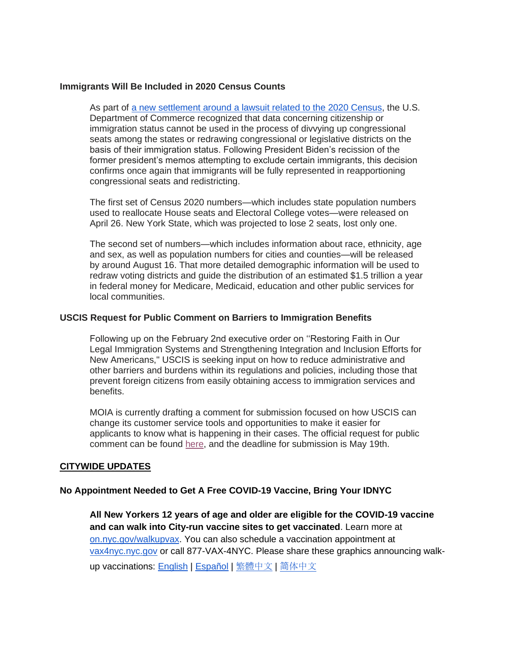### **Immigrants Will Be Included in 2020 Census Counts**

As part of [a new settlement around a lawsuit related to the 2020 Census,](https://gcc02.safelinks.protection.outlook.com/?url=https%3A%2F%2Fwww.nbcnews.com%2Fpolitics%2Fpolitics-news%2Fcensus-settlement-house-seat-numbers-can-t-be-released-next-n1265048&data=04%7C01%7CHNeuhaus%40moconsultant.nyc.gov%7C1ca8f090edd840b9304508d90ff40d17%7C35c828166c56443bbaf68312163cadc1%7C0%7C0%7C637558363142321404%7CUnknown%7CTWFpbGZsb3d8eyJWIjoiMC4wLjAwMDAiLCJQIjoiV2luMzIiLCJBTiI6Ik1haWwiLCJXVCI6Mn0%3D%7C1000&sdata=k4WUdq8GGPjNPYveyRQKpbBllA9S%2BA46kQ51NAudofE%3D&reserved=0) the U.S. Department of Commerce recognized that data concerning citizenship or immigration status cannot be used in the process of divvying up congressional seats among the states or redrawing congressional or legislative districts on the basis of their immigration status. Following President Biden's recission of the former president's memos attempting to exclude certain immigrants, this decision confirms once again that immigrants will be fully represented in reapportioning congressional seats and redistricting.

The first set of Census 2020 numbers—which includes state population numbers used to reallocate House seats and Electoral College votes—were released on April 26. New York State, which was projected to lose 2 seats, lost only one.

The second set of numbers—which includes information about race, ethnicity, age and sex, as well as population numbers for cities and counties—will be released by around August 16. That more detailed demographic information will be used to redraw voting districts and guide the distribution of an estimated \$1.5 trillion a year in federal money for Medicare, Medicaid, education and other public services for local communities.

## **USCIS Request for Public Comment on Barriers to Immigration Benefits**

Following up on the February 2nd executive order on ''Restoring Faith in Our Legal Immigration Systems and Strengthening Integration and Inclusion Efforts for New Americans," USCIS is seeking input on how to reduce administrative and other barriers and burdens within its regulations and policies, including those that prevent foreign citizens from easily obtaining access to immigration services and benefits.

MOIA is currently drafting a comment for submission focused on how USCIS can change its customer service tools and opportunities to make it easier for applicants to know what is happening in their cases. The official request for public comment can be found [here,](https://gcc02.safelinks.protection.outlook.com/?url=https%3A%2F%2Fwww.regulations.gov%2Fdocket%2FUSCIS-2021-0004%2Fdocument&data=04%7C01%7CHNeuhaus%40moconsultant.nyc.gov%7C1ca8f090edd840b9304508d90ff40d17%7C35c828166c56443bbaf68312163cadc1%7C0%7C0%7C637558363142331361%7CUnknown%7CTWFpbGZsb3d8eyJWIjoiMC4wLjAwMDAiLCJQIjoiV2luMzIiLCJBTiI6Ik1haWwiLCJXVCI6Mn0%3D%7C1000&sdata=HpMB5b6ovHTdIPov6mUVMhBYs7fBDOqEAcxdQAzITls%3D&reserved=0) and the deadline for submission is May 19th.

#### **CITYWIDE UPDATES**

#### **No Appointment Needed to Get A Free COVID-19 Vaccine, Bring Your IDNYC**

**All New Yorkers 12 years of age and older are eligible for the COVID-19 vaccine and can walk into City-run vaccine sites to get vaccinated**. Learn more at [on.nyc.gov/walkupvax.](https://on.nyc.gov/walkupvax) You can also schedule a vaccination appointment at [vax4nyc.nyc.gov](http://vax4nyc.nyc.gov/) or call 877-VAX-4NYC. Please share these graphics announcing walkup vaccinations: **English | [Español](https://drive.google.com/drive/folders/1j0aGTgDFuCwrPSIsUvTm5YdttD5eXeNo?usp=sharing) |** [繁體中文](https://drive.google.com/drive/folders/17RFpn6uWE_hXtm4QaXh0jkx9MEc_UDvu?usp=sharing) | [简](https://drive.google.com/drive/folders/13hdIpNmUADEEjTecRgEFiMNBcuaj1tcC?usp=sharing)[体中文](https://drive.google.com/drive/folders/13hdIpNmUADEEjTecRgEFiMNBcuaj1tcC?usp=sharing)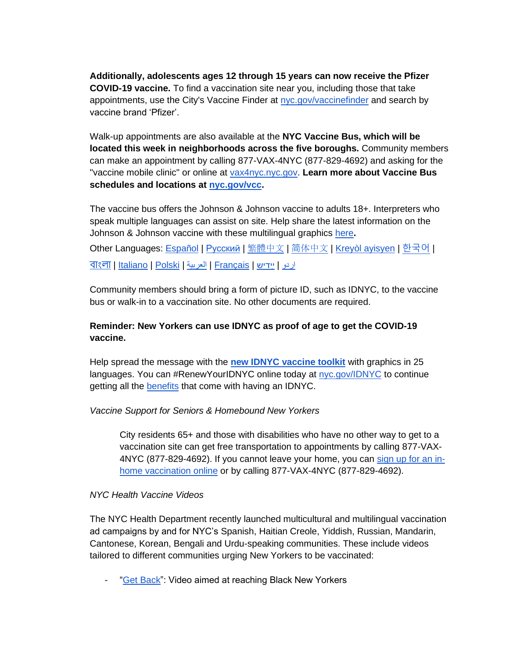**Additionally, adolescents ages 12 through 15 years can now receive the Pfizer COVID-19 vaccine.** To find a vaccination site near you, including those that take appointments, use the City's Vaccine Finder at [nyc.gov/vaccinefinder](http://nyc.gov/vaccinefinder) and search by vaccine brand 'Pfizer'.

Walk-up appointments are also available at the **NYC Vaccine Bus, which will be located this week in neighborhoods across the five boroughs.** Community members can make an appointment by calling 877-VAX-4NYC (877-829-4692) and asking for the "vaccine mobile clinic" or online at [vax4nyc.nyc.gov.](http://vax4nyc.nyc.gov/) **Learn more about Vaccine Bus schedules and locations at [nyc.gov/vcc.](http://nyc.gov/vcc)**

The vaccine bus offers the Johnson & Johnson vaccine to adults 18+. Interpreters who speak multiple languages can assist on site. Help share the latest information on the Johnson & Johnson vaccine with these multilingual graphics [here](https://www1.nyc.gov/assets/doh/downloads/pdf/covid/covid-19-johnson-and-johnson-vaccine-infographic.pdf)**.**

<mark>Other Languages: <u>Español | [Русский](https://gcc02.safelinks.protection.outlook.com/?url=https%3A%2F%2Fwww1.nyc.gov%2Fassets%2Fdoh%2Fdownloads%2Fpdf%2Fcovid%2Fcovid-19-johnson-and-johnson-vaccine-infographic-ru.pdf&data=04%7C01%7CHNeuhaus%40moconsultant.nyc.gov%7Ccd1c038ed3584827243208d90bee48a3%7C35c828166c56443bbaf68312163cadc1%7C0%7C0%7C637553940308431072%7CUnknown%7CTWFpbGZsb3d8eyJWIjoiMC4wLjAwMDAiLCJQIjoiV2luMzIiLCJBTiI6Ik1haWwiLCJXVCI6Mn0%3D%7C1000&sdata=X3amK4SZIzCbCMQv%2BTBfkyEKjYxyCFgVNh9WgEeszQA%3D&reserved=0) | [繁體中文](https://gcc02.safelinks.protection.outlook.com/?url=https%3A%2F%2Fwww1.nyc.gov%2Fassets%2Fdoh%2Fdownloads%2Fpdf%2Fcovid%2Fcovid-19-johnson-and-johnson-vaccine-infographic-ch.pdf&data=04%7C01%7CHNeuhaus%40moconsultant.nyc.gov%7Ccd1c038ed3584827243208d90bee48a3%7C35c828166c56443bbaf68312163cadc1%7C0%7C0%7C637553940308436047%7CUnknown%7CTWFpbGZsb3d8eyJWIjoiMC4wLjAwMDAiLCJQIjoiV2luMzIiLCJBTiI6Ik1haWwiLCJXVCI6Mn0%3D%7C1000&sdata=i42%2B7NVUY8hJoVqiZJfS%2FOSYQNl%2B3O6ZM0TB2IZqkYg%3D&reserved=0)</u> | [简](https://gcc02.safelinks.protection.outlook.com/?url=https%3A%2F%2Fwww1.nyc.gov%2Fassets%2Fdoh%2Fdownloads%2Fpdf%2Fcovid%2Fcovid-19-johnson-and-johnson-vaccine-infographic-sc.pdf&data=04%7C01%7CHNeuhaus%40moconsultant.nyc.gov%7Ccd1c038ed3584827243208d90bee48a3%7C35c828166c56443bbaf68312163cadc1%7C0%7C0%7C637553940308441014%7CUnknown%7CTWFpbGZsb3d8eyJWIjoiMC4wLjAwMDAiLCJQIjoiV2luMzIiLCJBTiI6Ik1haWwiLCJXVCI6Mn0%3D%7C1000&sdata=cThTC%2FSmffzFHG89k6%2BaUc9g7yXCEs4Y7TYgFNTzsDQ%3D&reserved=0)[体中文](https://gcc02.safelinks.protection.outlook.com/?url=https%3A%2F%2Fwww1.nyc.gov%2Fassets%2Fdoh%2Fdownloads%2Fpdf%2Fcovid%2Fcovid-19-johnson-and-johnson-vaccine-infographic-sc.pdf&data=04%7C01%7CHNeuhaus%40moconsultant.nyc.gov%7Ccd1c038ed3584827243208d90bee48a3%7C35c828166c56443bbaf68312163cadc1%7C0%7C0%7C637553940308441014%7CUnknown%7CTWFpbGZsb3d8eyJWIjoiMC4wLjAwMDAiLCJQIjoiV2luMzIiLCJBTiI6Ik1haWwiLCJXVCI6Mn0%3D%7C1000&sdata=cThTC%2FSmffzFHG89k6%2BaUc9g7yXCEs4Y7TYgFNTzsDQ%3D&reserved=0) | <u>Kreyòl ayisyen</u> | [한국어](https://gcc02.safelinks.protection.outlook.com/?url=https%3A%2F%2Fwww1.nyc.gov%2Fassets%2Fdoh%2Fdownloads%2Fpdf%2Fcovid%2Fcovid-19-johnson-and-johnson-vaccine-infographic-ko.pdf&data=04%7C01%7CHNeuhaus%40moconsultant.nyc.gov%7Ccd1c038ed3584827243208d90bee48a3%7C35c828166c56443bbaf68312163cadc1%7C0%7C0%7C637553940308450983%7CUnknown%7CTWFpbGZsb3d8eyJWIjoiMC4wLjAwMDAiLCJQIjoiV2luMzIiLCJBTiI6Ik1haWwiLCJXVCI6Mn0%3D%7C1000&sdata=y1bzrX3Hv1LAwer58dr80DzZohyonv9xY4h7hJ4yXKI%3D&reserved=0) |</mark> <u>বাংলা | Italiano | Polski | ال</u>عربية | <u>[Français](https://gcc02.safelinks.protection.outlook.com/?url=https%3A%2F%2Fwww1.nyc.gov%2Fassets%2Fdoh%2Fdownloads%2Fpdf%2Fcovid%2Fcovid-19-johnson-and-johnson-vaccine-infographic-fr.pdf&data=04%7C01%7CHNeuhaus%40moconsultant.nyc.gov%7Ccd1c038ed3584827243208d90bee48a3%7C35c828166c56443bbaf68312163cadc1%7C0%7C0%7C637553940308475870%7CUnknown%7CTWFpbGZsb3d8eyJWIjoiMC4wLjAwMDAiLCJQIjoiV2luMzIiLCJBTiI6Ik1haWwiLCJXVCI6Mn0%3D%7C1000&sdata=vIuAKhxQnEfhEC74boOQEZeoQThoBe54N8RQ2ixoFOg%3D&reserved=0) | ײַדיש</u>

Community members should bring a form of picture ID, such as IDNYC, to the vaccine bus or walk-in to a vaccination site. No other documents are required.

# **Reminder: New Yorkers can use IDNYC as proof of age to get the COVID-19 vaccine.**

Help spread the message with the **[new IDNYC vaccine toolkit](https://docs.google.com/document/d/1luysF2A26l9UCGOyHFCExTRNGWysSnQjCI3gZVg0ogw/edit?usp=sharing)** with graphics in 25 languages. You can #RenewYourIDNYC online today at [nyc.gov/IDNYC](https://gcc02.safelinks.protection.outlook.com/?url=http%3A%2F%2Fnyc.gov%2FIDNYC&data=04%7C01%7CHNeuhaus%40moconsultant.nyc.gov%7C53f98b3adf8748562fa008d910c1ad47%7C35c828166c56443bbaf68312163cadc1%7C0%7C0%7C637559246287369200%7CUnknown%7CTWFpbGZsb3d8eyJWIjoiMC4wLjAwMDAiLCJQIjoiV2luMzIiLCJBTiI6Ik1haWwiLCJXVCI6Mn0%3D%7C1000&sdata=sSiUFhf3QRMzFM%2B0Rk94yxa%2BbJOv5c9qEFENPe%2FZSPA%3D&reserved=0) to continue getting all the **benefits** that come with having an IDNYC.

# *Vaccine Support for Seniors & Homebound New Yorkers*

City residents 65+ and those with disabilities who have no other way to get to a vaccination site can get free transportation to appointments by calling 877-VAX-4NYC (877-829-4692). If you cannot leave your home, you can [sign up for an in](https://forms.cityofnewyork.us/f/homebound)[home vaccination online](https://forms.cityofnewyork.us/f/homebound) or by calling 877-VAX-4NYC (877-829-4692).

## *NYC Health Vaccine Videos*

The NYC Health Department recently launched multicultural and multilingual vaccination ad campaigns by and for NYC's Spanish, Haitian Creole, Yiddish, Russian, Mandarin, Cantonese, Korean, Bengali and Urdu-speaking communities. These include videos tailored to different communities urging New Yorkers to be vaccinated:

["Get Back"](https://gcc02.safelinks.protection.outlook.com/?url=https%3A%2F%2Fwww1.nyc.gov%2Fassets%2Fdoh%2Fdownloads%2Fpdf%2Fcovid%2Fget-back-black-vaccination.pdf&data=04%7C01%7CHNeuhaus%40moconsultant.nyc.gov%7C1b7916d6956e4a2fb5ad08d90f41891f%7C35c828166c56443bbaf68312163cadc1%7C0%7C0%7C637557596428356231%7CUnknown%7CTWFpbGZsb3d8eyJWIjoiMC4wLjAwMDAiLCJQIjoiV2luMzIiLCJBTiI6Ik1haWwiLCJXVCI6Mn0%3D%7C1000&sdata=z9JQq5Eu6wEOVKYNoJj%2BBs4eltMQeZlDfepUqrDkraE%3D&reserved=0): Video aimed at reaching Black New Yorkers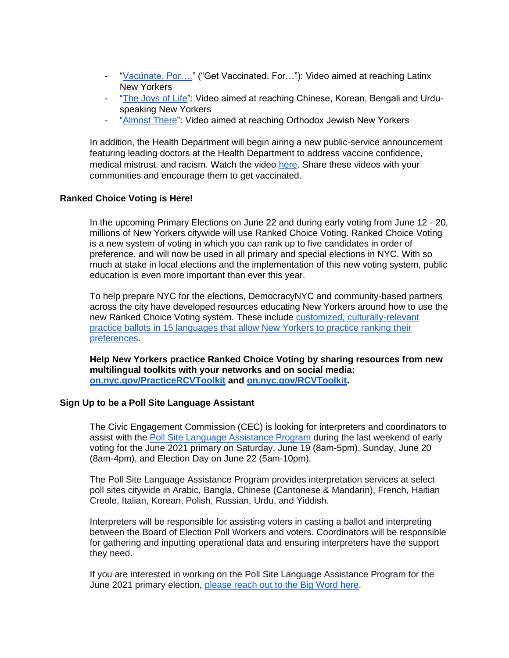- ["Vacúnate. Por…."](https://gcc02.safelinks.protection.outlook.com/?url=https%3A%2F%2Fwww1.nyc.gov%2Fassets%2Fdoh%2Fdownloads%2Fpdf%2Fcovid%2Fvacunate-por-latino-vaccination-sp.pdf&data=04%7C01%7CHNeuhaus%40moconsultant.nyc.gov%7C1b7916d6956e4a2fb5ad08d90f41891f%7C35c828166c56443bbaf68312163cadc1%7C0%7C0%7C637557596428361213%7CUnknown%7CTWFpbGZsb3d8eyJWIjoiMC4wLjAwMDAiLCJQIjoiV2luMzIiLCJBTiI6Ik1haWwiLCJXVCI6Mn0%3D%7C1000&sdata=kn6%2FWzOunFUBqogl1zHv0ecDHTe04FkrJtK%2FH0UKTGc%3D&reserved=0) ("Get Vaccinated. For…"): Video aimed at reaching Latinx New Yorkers
- ["The Joys of Life"](https://gcc02.safelinks.protection.outlook.com/?url=https%3A%2F%2Fwww1.nyc.gov%2Fassets%2Fdoh%2Fdownloads%2Fpdf%2Fcovid%2Fjoys-of-life-asian-vaccination-ch.pdf&data=04%7C01%7CHNeuhaus%40moconsultant.nyc.gov%7C1b7916d6956e4a2fb5ad08d90f41891f%7C35c828166c56443bbaf68312163cadc1%7C0%7C0%7C637557596428366185%7CUnknown%7CTWFpbGZsb3d8eyJWIjoiMC4wLjAwMDAiLCJQIjoiV2luMzIiLCJBTiI6Ik1haWwiLCJXVCI6Mn0%3D%7C1000&sdata=vZROFNXJFHSY35bUXs3anKsaFJp4Im3JcMxhlTzfIgA%3D&reserved=0): Video aimed at reaching Chinese, Korean, Bengali and Urduspeaking New Yorkers
- ["Almost There"](https://gcc02.safelinks.protection.outlook.com/?url=https%3A%2F%2Fwww1.nyc.gov%2Fassets%2Fdoh%2Fdownloads%2Fpdf%2Fcovid%2Falmost-there-orthodox-jewish-vaccination-yi.pdf&data=04%7C01%7CHNeuhaus%40moconsultant.nyc.gov%7C1b7916d6956e4a2fb5ad08d90f41891f%7C35c828166c56443bbaf68312163cadc1%7C0%7C0%7C637557596428371163%7CUnknown%7CTWFpbGZsb3d8eyJWIjoiMC4wLjAwMDAiLCJQIjoiV2luMzIiLCJBTiI6Ik1haWwiLCJXVCI6Mn0%3D%7C1000&sdata=5dB6WFv5GuysrH2H%2BkQSbOMVzXg4yt3S%2FTqg3w4JkbM%3D&reserved=0): Video aimed at reaching Orthodox Jewish New Yorkers

In addition, the Health Department will begin airing a new public-service announcement featuring leading doctors at the Health Department to address vaccine confidence, medical mistrust. and racism. Watch the video [here.](https://gcc02.safelinks.protection.outlook.com/?url=https%3A%2F%2Fwww.youtube.com%2Fwatch%3Fv%3D-BkPoy1JNww&data=04%7C01%7CHNeuhaus%40moconsultant.nyc.gov%7C1b7916d6956e4a2fb5ad08d90f41891f%7C35c828166c56443bbaf68312163cadc1%7C0%7C0%7C637557596428351252%7CUnknown%7CTWFpbGZsb3d8eyJWIjoiMC4wLjAwMDAiLCJQIjoiV2luMzIiLCJBTiI6Ik1haWwiLCJXVCI6Mn0%3D%7C1000&sdata=nqgHZewJ1gKBgFFwQbWctqAjdyhtOF1oZvoX2G%2FubTk%3D&reserved=0) Share these videos with your communities and encourage them to get vaccinated.

## **Ranked Choice Voting is Here!**

In the upcoming Primary Elections on June 22 and during early voting from June 12 - 20, millions of New Yorkers citywide will use Ranked Choice Voting. Ranked Choice Voting is a new system of voting in which you can rank up to five candidates in order of preference, and will now be used in all primary and special elections in NYC. With so much at stake in local elections and the implementation of this new voting system, public education is even more important than ever this year.

To help prepare NYC for the elections, DemocracyNYC and community-based partners across the city have developed resources educating New Yorkers around how to use the new Ranked Choice Voting system. These include [customized, culturally-relevant](https://www1.nyc.gov/site/democracynyc/resources/rcv-ballot.page)  [practice ballots in 15 languages that allow New Yorkers to practice ranking their](https://www1.nyc.gov/site/democracynyc/resources/rcv-ballot.page)  [preferences.](https://www1.nyc.gov/site/democracynyc/resources/rcv-ballot.page)

**Help New Yorkers practice Ranked Choice Voting by sharing resources from new multilingual toolkits with your networks and on social media: [on.nyc.gov/PracticeRCVToolkit](http://on.nyc.gov/PracticeRCVToolkit) and [on.nyc.gov/RCVToolkit.](http://on.nyc.gov/RCVToolkit)** 

## **Sign Up to be a Poll Site Language Assistant**

The Civic Engagement Commission (CEC) is looking for interpreters and coordinators to assist with the [Poll Site Language Assistance Program](https://gcc02.safelinks.protection.outlook.com/?url=https%3A%2F%2Fwww1.nyc.gov%2Fsite%2Fcivicengagement%2Fvoting%2Fpoll-site-language-assistance-list.page&data=04%7C01%7CHNeuhaus%40moconsultant.nyc.gov%7C421f2a51a60340978c4808d9116ce9b5%7C35c828166c56443bbaf68312163cadc1%7C0%7C0%7C637559981733392193%7CUnknown%7CTWFpbGZsb3d8eyJWIjoiMC4wLjAwMDAiLCJQIjoiV2luMzIiLCJBTiI6Ik1haWwiLCJXVCI6Mn0%3D%7C1000&sdata=BRQOG67KG7luay8Bw9WEBPMt%2B6bMiy2Zv21bWJMk9Z0%3D&reserved=0) during the last weekend of early voting for the June 2021 primary on Saturday, June 19 (8am-5pm), Sunday, June 20 (8am-4pm), and Election Day on June 22 (5am-10pm).

The Poll Site Language Assistance Program provides interpretation services at select poll sites citywide in Arabic, Bangla, Chinese (Cantonese & Mandarin), French, Haitian Creole, Italian, Korean, Polish, Russian, Urdu, and Yiddish.

Interpreters will be responsible for assisting voters in casting a ballot and interpreting between the Board of Election Poll Workers and voters. Coordinators will be responsible for gathering and inputting operational data and ensuring interpreters have the support they need.

If you are interested in working on the Poll Site Language Assistance Program for the June 2021 primary election, [please reach out to the Big Word here.](https://gcc02.safelinks.protection.outlook.com/?url=https%3A%2F%2Fmarketing.thebigword.com%2Fnyc-elections-1&data=04%7C01%7CHNeuhaus%40moconsultant.nyc.gov%7C421f2a51a60340978c4808d9116ce9b5%7C35c828166c56443bbaf68312163cadc1%7C0%7C0%7C637559981733397154%7CUnknown%7CTWFpbGZsb3d8eyJWIjoiMC4wLjAwMDAiLCJQIjoiV2luMzIiLCJBTiI6Ik1haWwiLCJXVCI6Mn0%3D%7C1000&sdata=M21EweYriGHuNu%2BRFwjWi5re5kne%2FYXACTkchCqUjWE%3D&reserved=0)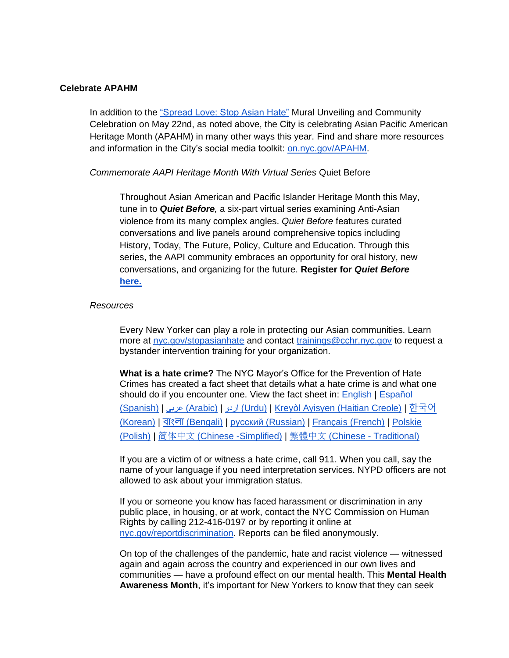#### **Celebrate APAHM**

In addition to the ["Spread Love: Stop Asian Hate"](http://nyc.gov/TRIE) Mural Unveiling and Community Celebration on May 22nd, as noted above, the City is celebrating Asian Pacific American Heritage Month (APAHM) in many other ways this year. Find and share more resources and information in the City's social media toolkit: [on.nyc.gov/APAHM.](http://on.nyc.gov/APAHM)

#### *Commemorate AAPI Heritage Month With Virtual Series* Quiet Before

Throughout Asian American and Pacific Islander Heritage Month this May, tune in to *Quiet Before,* a six-part virtual series examining Anti-Asian violence from its many complex angles. *Quiet Before* features curated conversations and live panels around comprehensive topics including History, Today, The Future, Policy, Culture and Education. Through this series, the AAPI community embraces an opportunity for oral history, new conversations, and organizing for the future. **Register for** *Quiet Before* **[here.](https://gcc02.safelinks.protection.outlook.com/?url=https%3A%2F%2Fchineseamericanmuseum.z2systems.com%2Fnp%2Fclients%2Fchineseamericanmuseum%2Fsurvey.jsp%3FsurveyId%3D17%26&data=04%7C01%7CHNeuhaus%40moconsultant.nyc.gov%7Cbf96a6272f2449cd19fd08d90a5011a0%7C35c828166c56443bbaf68312163cadc1%7C0%7C0%7C637552161276589646%7CUnknown%7CTWFpbGZsb3d8eyJWIjoiMC4wLjAwMDAiLCJQIjoiV2luMzIiLCJBTiI6Ik1haWwiLCJXVCI6Mn0%3D%7C1000&sdata=Au65WA86iHd3f5FYmAYVffxdN2LPSUXLb25RNuzLHhc%3D&reserved=0)**

#### *Resources*

Every New Yorker can play a role in protecting our Asian communities. Learn more at [nyc.gov/stopasianhate](http://nyc.gov/stopasianhate) and contact [trainings@cchr.nyc.gov](mailto:trainings@cchr.nyc.gov) to request a bystander intervention training for your organization.

**What is a hate crime?** The NYC Mayor's Office for the Prevention of Hate Crimes has created a fact sheet that details what a hate crime is and what one should do if you encounter one. View the fact sheet in: [English](https://www1.nyc.gov/assets/cchr/downloads/pdf/materials/OPHC_WhatIsAHateCrime_FINAL.pdf) | [Español](https://www1.nyc.gov/assets/cchr/downloads/pdf/materials/what-is-a-hate-crime_Spanish.pdf)  [\(Spanish\)](https://www1.nyc.gov/assets/cchr/downloads/pdf/materials/what-is-a-hate-crime_Spanish.pdf) | [عربى\)](https://www1.nyc.gov/assets/cchr/downloads/pdf/materials/what-is-a-hate-crime_Arabic.pdf) [Arabic\)](https://www1.nyc.gov/assets/cchr/downloads/pdf/materials/what-is-a-hate-crime_Arabic.pdf) | [اردو\)](https://www1.nyc.gov/assets/cchr/downloads/pdf/materials/what-is-a-hate-crime_Urdu.pdf) [Urdu\)](https://www1.nyc.gov/assets/cchr/downloads/pdf/materials/what-is-a-hate-crime_Urdu.pdf) | [Kreyòl Ayisyen \(Haitian Creole\)](https://www1.nyc.gov/assets/cchr/downloads/pdf/materials/what-is-a-hate-crime_Haitian-Creole.pdf) | [한국어](https://www1.nyc.gov/assets/cchr/downloads/pdf/materials/what-is-a-hate-crime_Korean.pdf)

[\(Korean\)](https://www1.nyc.gov/assets/cchr/downloads/pdf/materials/what-is-a-hate-crime_Korean.pdf) | বাংলা [\(Bengali\)](https://www1.nyc.gov/assets/cchr/downloads/pdf/materials/what-is-a-hate-crime_Bengali.pdf) | [русский \(Russian\)](https://www1.nyc.gov/assets/cchr/downloads/pdf/materials/what-is-a-hate-crime_Russian.pdf) | [Français \(French\)](https://www1.nyc.gov/assets/cchr/downloads/pdf/materials/what-is-a-hate-crime_French.pdf) | Polskie [\(Polish\)](https://www1.nyc.gov/assets/cchr/downloads/pdf/materials/what-is-a-hate-crime_Polish.pdf) | [简](https://www1.nyc.gov/assets/cchr/downloads/pdf/materials/what-is-a-hate-crime_Simplified-Chinese.pdf)[体中文](https://www1.nyc.gov/assets/cchr/downloads/pdf/materials/what-is-a-hate-crime_Simplified-Chinese.pdf) [\(Chinese -Simplified\)](https://www1.nyc.gov/assets/cchr/downloads/pdf/materials/what-is-a-hate-crime_Simplified-Chinese.pdf) | [繁體中文](https://www1.nyc.gov/assets/cchr/downloads/pdf/materials/what-is-a-hate-crime_Traditional-Chinese.pdf) (Chinese - [Traditional\)](https://www1.nyc.gov/assets/cchr/downloads/pdf/materials/what-is-a-hate-crime_Traditional-Chinese.pdf)

If you are a victim of or witness a hate crime, call 911. When you call, say the name of your language if you need interpretation services. NYPD officers are not allowed to ask about your immigration status.

If you or someone you know has faced harassment or discrimination in any public place, in housing, or at work, contact the NYC Commission on Human Rights by calling 212-416-0197 or by reporting it online at [nyc.gov/reportdiscrimination.](http://nyc.gov/reportdiscrimination) Reports can be filed anonymously.

On top of the challenges of the pandemic, hate and racist violence — witnessed again and again across the country and experienced in our own lives and communities — have a profound effect on our mental health. This **Mental Health Awareness Month**, it's important for New Yorkers to know that they can seek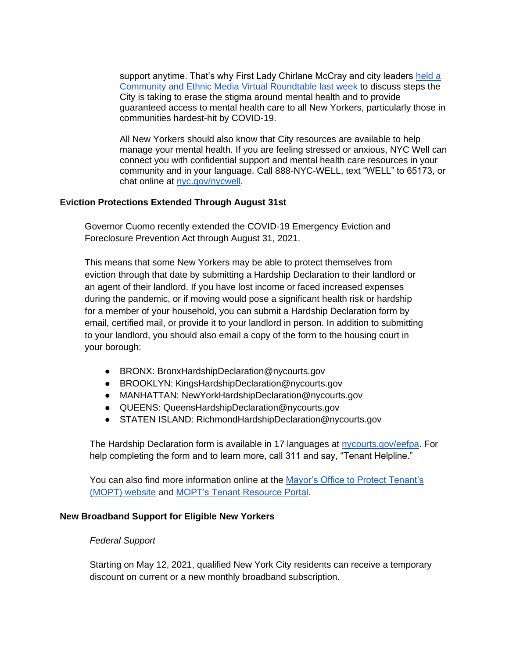support anytime. That's why First Lady Chirlane McCray and city leaders held a [Community and Ethnic Media Virtual Roundtable last week](https://www.facebook.com/118622031512497/videos/462644641465864) to discuss steps the City is taking to erase the stigma around mental health and to provide guaranteed access to mental health care to all New Yorkers, particularly those in communities hardest-hit by COVID-19.

All New Yorkers should also know that City resources are available to help manage your mental health. If you are feeling stressed or anxious, NYC Well can connect you with confidential support and mental health care resources in your community and in your language. Call 888-NYC-WELL, text "WELL" to 65173, or chat online at [nyc.gov/nycwell.](http://nyc.gov/nycwell)

## **Eviction Protections Extended Through August 31st**

Governor Cuomo recently extended the COVID-19 Emergency Eviction and Foreclosure Prevention Act through August 31, 2021.

This means that some New Yorkers may be able to protect themselves from eviction through that date by submitting a Hardship Declaration to their landlord or an agent of their landlord. If you have lost income or faced increased expenses during the pandemic, or if moving would pose a significant health risk or hardship for a member of your household, you can submit a Hardship Declaration form by email, certified mail, or provide it to your landlord in person. In addition to submitting to your landlord, you should also email a copy of the form to the housing court in your borough:

- BRONX: BronxHardshipDeclaration@nycourts.gov
- BROOKLYN: KingsHardshipDeclaration@nycourts.gov
- MANHATTAN: NewYorkHardshipDeclaration@nycourts.gov
- QUEENS: QueensHardshipDeclaration@nycourts.gov
- STATEN ISLAND: RichmondHardshipDeclaration@nycourts.gov

The Hardship Declaration form is available in 17 languages at [nycourts.gov/eefpa.](https://gcc02.safelinks.protection.outlook.com/?url=http%3A%2F%2Fwww.nycourts.gov%2Feefpa&data=04%7C01%7CHNeuhaus%40moconsultant.nyc.gov%7C053bd3c6e7784e1fb51f08d9155576e1%7C35c828166c56443bbaf68312163cadc1%7C0%7C0%7C637564279079623123%7CUnknown%7CTWFpbGZsb3d8eyJWIjoiMC4wLjAwMDAiLCJQIjoiV2luMzIiLCJBTiI6Ik1haWwiLCJXVCI6Mn0%3D%7C1000&sdata=Lpl6BvXQv6%2BwUN2A0lOJMp5x06ySdPiNNQ6mJ1iMxdo%3D&reserved=0) For help completing the form and to learn more, call 311 and say, "Tenant Helpline."

You can also find more information online at the Mayor's Office to Protect Tenant's [\(MOPT\) website](https://gcc02.safelinks.protection.outlook.com/?url=https%3A%2F%2Fwww1.nyc.gov%2Fcontent%2Ftenantprotection%2Fpages%2F&data=04%7C01%7CHNeuhaus%40moconsultant.nyc.gov%7C12973e9570c846e686ff08d9146ecf6d%7C35c828166c56443bbaf68312163cadc1%7C0%7C0%7C637563288430811251%7CUnknown%7CTWFpbGZsb3d8eyJWIjoiMC4wLjAwMDAiLCJQIjoiV2luMzIiLCJBTiI6Ik1haWwiLCJXVCI6Mn0%3D%7C1000&sdata=%2F7YZqop6WRWhqhZdgzJBrqVoTQVgZ1GIUkpBXs7TuRY%3D&reserved=0) and [MOPT's Tenant Resource Portal.](https://gcc02.safelinks.protection.outlook.com/?url=https%3A%2F%2Fwww1.nyc.gov%2Fcontent%2Ftenantprotection%2Fpages%2F&data=04%7C01%7CHNeuhaus%40moconsultant.nyc.gov%7C12973e9570c846e686ff08d9146ecf6d%7C35c828166c56443bbaf68312163cadc1%7C0%7C0%7C637563288430811251%7CUnknown%7CTWFpbGZsb3d8eyJWIjoiMC4wLjAwMDAiLCJQIjoiV2luMzIiLCJBTiI6Ik1haWwiLCJXVCI6Mn0%3D%7C1000&sdata=%2F7YZqop6WRWhqhZdgzJBrqVoTQVgZ1GIUkpBXs7TuRY%3D&reserved=0)

#### **New Broadband Support for Eligible New Yorkers**

#### *Federal Support*

Starting on May 12, 2021, qualified New York City residents can receive a temporary discount on current or a new monthly broadband subscription.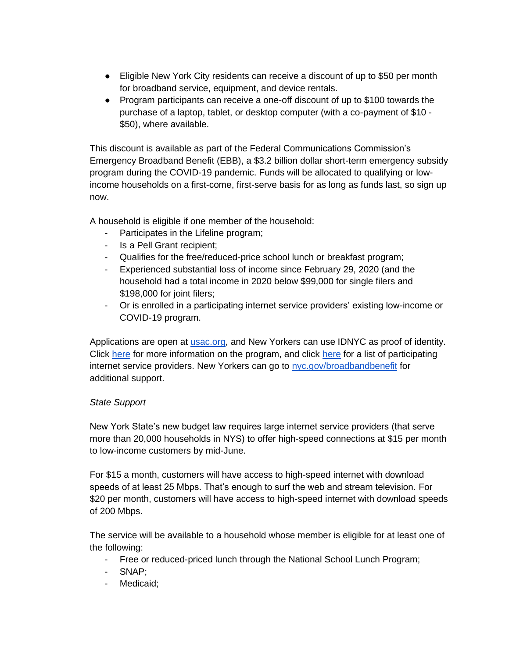- Eligible New York City residents can receive a discount of up to \$50 per month for broadband service, equipment, and device rentals.
- Program participants can receive a one-off discount of up to \$100 towards the purchase of a laptop, tablet, or desktop computer (with a co-payment of \$10 - \$50), where available.

This discount is available as part of the Federal Communications Commission's Emergency Broadband Benefit (EBB), a \$3.2 billion dollar short-term emergency subsidy program during the COVID-19 pandemic. Funds will be allocated to qualifying or lowincome households on a first-come, first-serve basis for as long as funds last, so sign up now.

A household is eligible if one member of the household:

- Participates in the Lifeline program;
- Is a Pell Grant recipient;
- Qualifies for the free/reduced-price school lunch or breakfast program;
- Experienced substantial loss of income since February 29, 2020 (and the household had a total income in 2020 below \$99,000 for single filers and \$198,000 for joint filers;
- Or is enrolled in a participating internet service providers' existing low-income or COVID-19 program.

Applications are open at [usac.org,](https://www.usac.org/) and New Yorkers can use IDNYC as proof of identity. Click [here](https://www.fcc.gov/emergency-broadband-benefit-providers#New%20York) for more information on the program, and click here for a list of participating internet service providers. New Yorkers can go to [nyc.gov/broadbandbenefit](http://nyc.gov/broadbandbenefit) for additional support.

## *State Support*

New York State's new budget law requires large internet service providers (that serve more than 20,000 households in NYS) to offer high-speed connections at \$15 per month to low-income customers by mid-June.

For \$15 a month, customers will have access to high-speed internet with download speeds of at least 25 Mbps. That's enough to surf the web and stream television. For \$20 per month, customers will have access to high-speed internet with download speeds of 200 Mbps.

The service will be available to a household whose member is eligible for at least one of the following:

- Free or reduced-priced lunch through the National School Lunch Program;
- SNAP;
- Medicaid;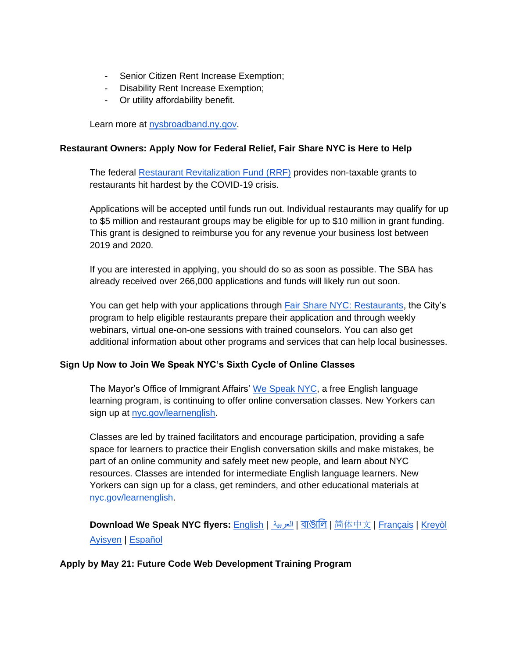- Senior Citizen Rent Increase Exemption;
- Disability Rent Increase Exemption;
- Or utility affordability benefit.

Learn more at [nysbroadband.ny.gov.](http://nysbroadband.ny.gov/)

## **Restaurant Owners: Apply Now for Federal Relief, Fair Share NYC is Here to Help**

The federal [Restaurant Revitalization Fund \(RRF\)](https://gcc02.safelinks.protection.outlook.com/?url=https%3A%2F%2Fwww.sba.gov%2Ffunding-programs%2Floans%2Fcovid-19-relief-options%2Frestaurant-revitalization-fund&data=04%7C01%7CHNeuhaus%40moconsultant.nyc.gov%7Cc6e948eb37e343f6628208d916322ddb%7C35c828166c56443bbaf68312163cadc1%7C0%7C0%7C637565227939706375%7CUnknown%7CTWFpbGZsb3d8eyJWIjoiMC4wLjAwMDAiLCJQIjoiV2luMzIiLCJBTiI6Ik1haWwiLCJXVCI6Mn0%3D%7C1000&sdata=ImoZwV%2FqjtYUIaEsQURBXjYETLf6RDALytvGt46vkNk%3D&reserved=0) provides non-taxable grants to restaurants hit hardest by the COVID-19 crisis.

Applications will be accepted until funds run out. Individual restaurants may qualify for up to \$5 million and restaurant groups may be eligible for up to \$10 million in grant funding. This grant is designed to reimburse you for any revenue your business lost between 2019 and 2020.

If you are interested in applying, you should do so as soon as possible. The SBA has already received over 266,000 applications and funds will likely run out soon.

You can get help with your applications through **Fair Share NYC: Restaurants**, the City's program to help eligible restaurants prepare their application and through weekly webinars, virtual one-on-one sessions with trained counselors. You can also get additional information about other programs and services that can help local businesses.

## **Sign Up Now to Join We Speak NYC's Sixth Cycle of Online Classes**

The Mayor's Office of Immigrant Affairs' [We Speak NYC,](http://nyc.gov/learnenglish) a free English language learning program, is continuing to offer online conversation classes. New Yorkers can sign up at [nyc.gov/learnenglish.](https://wespeaknyc.cityofnewyork.us/wsnyc-online-classes/)

Classes are led by trained facilitators and encourage participation, providing a safe space for learners to practice their English conversation skills and make mistakes, be part of an online community and safely meet new people, and learn about NYC resources. Classes are intended for intermediate English language learners. New Yorkers can sign up for a class, get reminders, and other educational materials at [nyc.gov/learnenglish.](http://nyc.gov/learnenglish)

**Download We Speak NYC flyers:** [English](https://drive.google.com/file/d/1JuZUFlTwamp5szwBUqmXAgoOUtaEbczv/view?usp=sharing) | [العربية](https://drive.google.com/file/d/1AKDjL_tAlq-OuiVyh9HpFncXcFfRPIfS/view?usp=sharing) | [বাঙালি](https://drive.google.com/file/d/1bcFkjH3-OmOKVPZlg89hf04-Up4KXdki/view?usp=sharing) | [简](https://drive.google.com/file/d/1icUVZZW4mSwYcTkUshAISoQ5MaUtrFEu/view?usp=sharing)[体中文](https://drive.google.com/file/d/1icUVZZW4mSwYcTkUshAISoQ5MaUtrFEu/view?usp=sharing) | [Français](https://drive.google.com/file/d/1Q8QsaEAWw99Erl2NNQ3ZBrJuL7muB-Qe/view?usp=sharing) | [Kreyòl](https://drive.google.com/file/d/1xgAkW7dI0r3lmOfIJE7TBTOeU8KZGdjW/view?usp=sharing)  [Ayisyen](https://drive.google.com/file/d/1xgAkW7dI0r3lmOfIJE7TBTOeU8KZGdjW/view?usp=sharing) | [Español](https://drive.google.com/file/d/18OXo34e9CTCuZfCF79k4sgg7UGTNfJti/view?usp=sharing) 

## **Apply by May 21: Future Code Web Development Training Program**